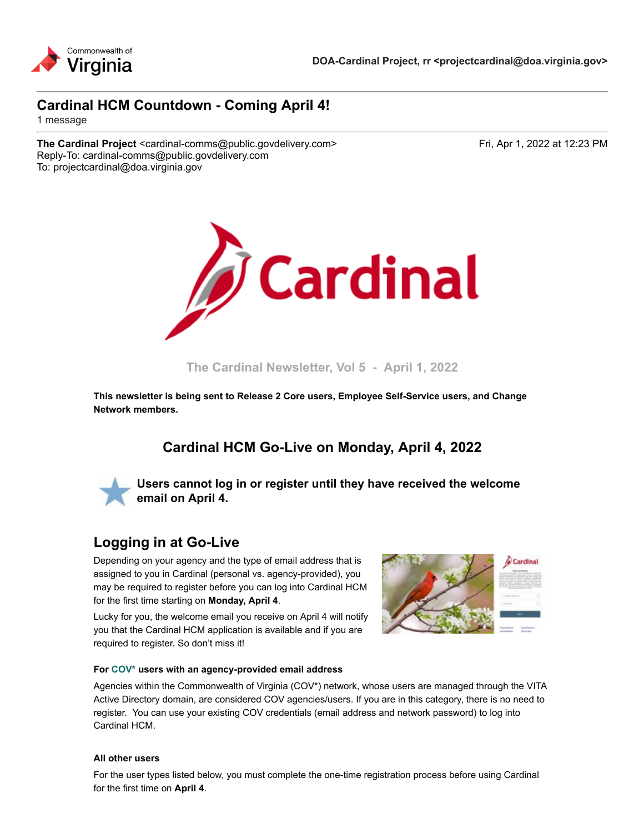

### **Cardinal HCM Countdown - Coming April 4!**

1 message

**The Cardinal Project** <cardinal-comms@public.govdelivery.com> Fri, Apr 1, 2022 at 12:23 PM Reply-To: cardinal-comms@public.govdelivery.com To: projectcardinal@doa.virginia.gov



**The Cardinal Newsletter, Vol 5 - April 1, 2022**

**This newsletter is being sent to Release 2 Core users, Employee Self-Service users, and Change Network members.**

## **Cardinal HCM Go-Live on Monday, April 4, 2022**



**Users cannot log in or register until they have received the welcome email on April 4.**

## **Logging in at Go-Live**

Depending on your agency and the type of email address that is assigned to you in Cardinal (personal vs. agency-provided), you may be required to register before you can log into Cardinal HCM for the first time starting on **Monday, April 4**.

Lucky for you, the welcome email you receive on April 4 will notify you that the Cardinal HCM application is available and if you are required to register. So don't miss it!



#### **For [COV\\*](https://lnks.gd/l/eyJhbGciOiJIUzI1NiJ9.eyJidWxsZXRpbl9saW5rX2lkIjoxMDAsInVyaSI6ImJwMjpjbGljayIsImJ1bGxldGluX2lkIjoiMjAyMjA0MDEuNTU4MDU1ODEiLCJ1cmwiOiJodHRwczovL3d3dy5jYXJkaW5hbHByb2plY3QudmlyZ2luaWEuZ292L3NpdGVzL2RlZmF1bHQvZmlsZXMvMjAyMS0wNC9DYXJkaW5hbCUyMEFnZW5jeSUyME9rdGElMjBDbGFzc2lmaWNhdGlvbi5wZGYifQ.2tyMYR8DK5jOkmJ6jr55heVJx4NMf5UM8gayoqClhpI/s/2164139144/br/129025179197-l) users with an agency-provided email address**

Agencies within the Commonwealth of Virginia (COV\*) network, whose users are managed through the VITA Active Directory domain, are considered COV agencies/users. If you are in this category, there is no need to register. You can use your existing COV credentials (email address and network password) to log into Cardinal HCM.

#### **All other users**

For the user types listed below, you must complete the one-time registration process before using Cardinal for the first time on **April 4**.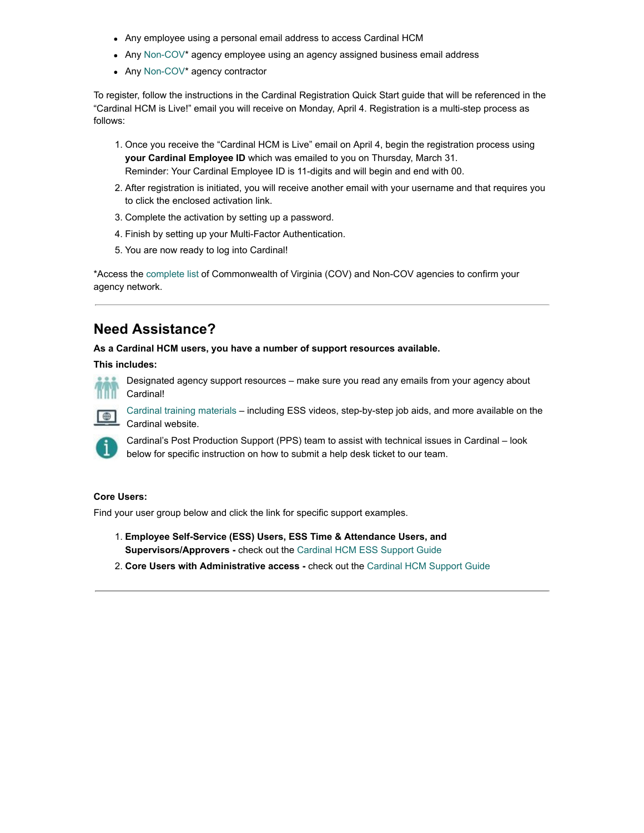- Any employee using a personal email address to access Cardinal HCM
- Any [Non-COV](https://lnks.gd/l/eyJhbGciOiJIUzI1NiJ9.eyJidWxsZXRpbl9saW5rX2lkIjoxMDEsInVyaSI6ImJwMjpjbGljayIsImJ1bGxldGluX2lkIjoiMjAyMjA0MDEuNTU4MDU1ODEiLCJ1cmwiOiJodHRwczovL3d3dy5jYXJkaW5hbHByb2plY3QudmlyZ2luaWEuZ292L3NpdGVzL2RlZmF1bHQvZmlsZXMvMjAyMS0wNC9DYXJkaW5hbCUyMEFnZW5jeSUyME9rdGElMjBDbGFzc2lmaWNhdGlvbi5wZGYifQ.eMjLXq_RJ2D-P51EiJxu_rceLl_u4tI_YOAZBFuOVus/s/2164139144/br/129025179197-l)\* agency employee using an agency assigned business email address
- Any [Non-COV](https://lnks.gd/l/eyJhbGciOiJIUzI1NiJ9.eyJidWxsZXRpbl9saW5rX2lkIjoxMDIsInVyaSI6ImJwMjpjbGljayIsImJ1bGxldGluX2lkIjoiMjAyMjA0MDEuNTU4MDU1ODEiLCJ1cmwiOiJodHRwczovL3d3dy5jYXJkaW5hbHByb2plY3QudmlyZ2luaWEuZ292L3NpdGVzL2RlZmF1bHQvZmlsZXMvMjAyMS0wNC9DYXJkaW5hbCUyMEFnZW5jeSUyME9rdGElMjBDbGFzc2lmaWNhdGlvbi5wZGYifQ.uZtXer2vs4_qhBIiuzR_TFzbC-BqoSSQFYHJ4OP4PaY/s/2164139144/br/129025179197-l)<sup>\*</sup> agency contractor

To register, follow the instructions in the Cardinal Registration Quick Start guide that will be referenced in the "Cardinal HCM is Live!" email you will receive on Monday, April 4. Registration is a multi-step process as follows:

- 1. Once you receive the "Cardinal HCM is Live" email on April 4, begin the registration process using **your Cardinal Employee ID** which was emailed to you on Thursday, March 31. Reminder: Your Cardinal Employee ID is 11-digits and will begin and end with 00.
- 2. After registration is initiated, you will receive another email with your username and that requires you to click the enclosed activation link.
- 3. Complete the activation by setting up a password.
- 4. Finish by setting up your Multi-Factor Authentication.
- 5. You are now ready to log into Cardinal!

\*Access the [complete list](https://lnks.gd/l/eyJhbGciOiJIUzI1NiJ9.eyJidWxsZXRpbl9saW5rX2lkIjoxMDMsInVyaSI6ImJwMjpjbGljayIsImJ1bGxldGluX2lkIjoiMjAyMjA0MDEuNTU4MDU1ODEiLCJ1cmwiOiJodHRwczovL3d3dy5jYXJkaW5hbHByb2plY3QudmlyZ2luaWEuZ292L3NpdGVzL2RlZmF1bHQvZmlsZXMvMjAyMS0wNC9DYXJkaW5hbCUyMEFnZW5jeSUyME9rdGElMjBDbGFzc2lmaWNhdGlvbi5wZGYifQ.e1-Bw2U6f6M-JikvU4j3yNBkEJCtsABiHrqPZWqCAWA/s/2164139144/br/129025179197-l) of Commonwealth of Virginia (COV) and Non-COV agencies to confirm your agency network.

# **Need Assistance?**

**As a Cardinal HCM users, you have a number of support resources available.**

**This includes:**



Designated agency support resources – make sure you read any emails from your agency about Cardinal!

[Cardinal training materials](https://lnks.gd/l/eyJhbGciOiJIUzI1NiJ9.eyJidWxsZXRpbl9saW5rX2lkIjoxMDQsInVyaSI6ImJwMjpjbGljayIsImJ1bGxldGluX2lkIjoiMjAyMjA0MDEuNTU4MDU1ODEiLCJ1cmwiOiJodHRwczovL2NhcmRpbmFscHJvamVjdC52aXJnaW5pYS5nb3Yvc2l0ZXMvZGVmYXVsdC9maWxlcy8yMDIyLTA0L0NhcmRpbmFsX0hDTV9BdmFpbGFibGVSZXNvdXJjZXMucGRmIn0.Fomv8egjrQUMEnCSIt1omi_c4F2GRIsvPMGDbNs2D-s/s/2164139144/br/129025179197-l) – including ESS videos, step-by-step job aids, and more available on the Cardinal website.



 $\blacksquare$ 

Cardinal's Post Production Support (PPS) team to assist with technical issues in Cardinal – look below for specific instruction on how to submit a help desk ticket to our team.

#### **Core Users:**

Find your user group below and click the link for specific support examples.

- 1. **Employee Self-Service (ESS) Users, ESS Time & Attendance Users, and Supervisors/Approvers -** check out the [Cardinal HCM ESS Support Guide](https://lnks.gd/l/eyJhbGciOiJIUzI1NiJ9.eyJidWxsZXRpbl9saW5rX2lkIjoxMDUsInVyaSI6ImJwMjpjbGljayIsImJ1bGxldGluX2lkIjoiMjAyMjA0MDEuNTU4MDU1ODEiLCJ1cmwiOiJodHRwczovL2NhcmRpbmFscHJvamVjdC52aXJnaW5pYS5nb3Yvc2l0ZXMvZGVmYXVsdC9maWxlcy8yMDIyLTA0L0NhcmRpbmFsX0hDTV9TdXBwb3J0JTIwR3VpZGVfRVNTJTIwVXNlcnMucGRmIn0.Jub1wEKQtYoBAGwnuUcLZzDrkuw8rha0uzwYaqXlpX4/s/2164139144/br/129025179197-l)
- 2. **Core Users with Administrative access** check out the [Cardinal HCM Support Guide](https://lnks.gd/l/eyJhbGciOiJIUzI1NiJ9.eyJidWxsZXRpbl9saW5rX2lkIjoxMDYsInVyaSI6ImJwMjpjbGljayIsImJ1bGxldGluX2lkIjoiMjAyMjA0MDEuNTU4MDU1ODEiLCJ1cmwiOiJodHRwczovL2NhcmRpbmFscHJvamVjdC52aXJnaW5pYS5nb3Yvc2l0ZXMvZGVmYXVsdC9maWxlcy8yMDIyLTA0L0NhcmRpbmFsX0hDTV9TdXBwb3J0JTIwR3VpZGVfQ29yZSUyMFVzZXJzLnBkZiJ9.XO7niTQBxDxGw1YnSYcenPiB088FRQ_8eULfJYK14SY/s/2164139144/br/129025179197-l)